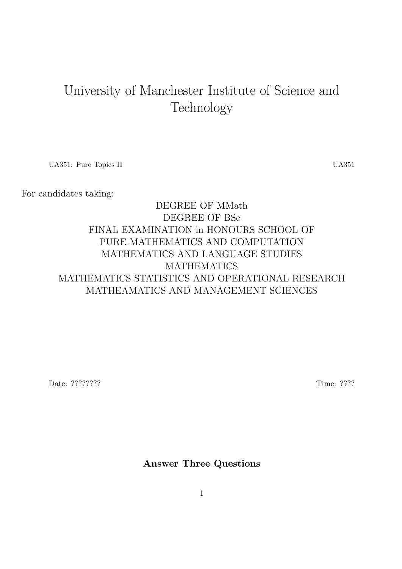# University of Manchester Institute of Science and Technology

UA351: Pure Topics II UA351

## For candidates taking:

# DEGREE OF MMath DEGREE OF BSc FINAL EXAMINATION in HONOURS SCHOOL OF PURE MATHEMATICS AND COMPUTATION MATHEMATICS AND LANGUAGE STUDIES **MATHEMATICS** MATHEMATICS STATISTICS AND OPERATIONAL RESEARCH MATHEAMATICS AND MANAGEMENT SCIENCES

Date: ????????? Time: ????

Answer Three Questions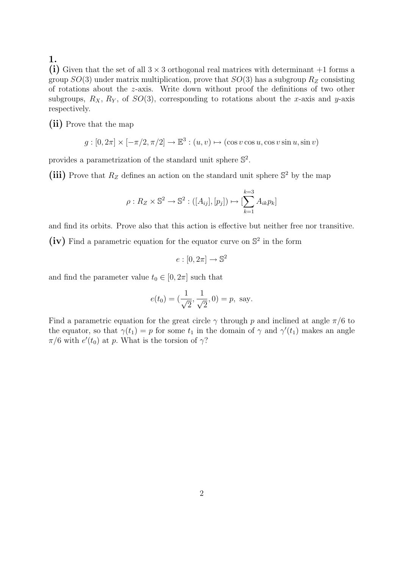(i) Given that the set of all  $3 \times 3$  orthogonal real matrices with determinant  $+1$  forms a group  $SO(3)$  under matrix multiplication, prove that  $SO(3)$  has a subgroup  $R_Z$  consisting of rotations about the z-axis. Write down without proof the definitions of two other subgroups,  $R_X$ ,  $R_Y$ , of  $SO(3)$ , corresponding to rotations about the x-axis and y-axis respectively.

(ii) Prove that the map

 $g: [0, 2\pi] \times [-\pi/2, \pi/2] \to \mathbb{E}^3 : (u, v) \mapsto (\cos v \cos u, \cos v \sin u, \sin v)$ 

provides a parametrization of the standard unit sphere  $\mathbb{S}^2$ .

(iii) Prove that  $R_Z$  defines an action on the standard unit sphere  $\mathbb{S}^2$  by the map

$$
\rho: R_Z \times \mathbb{S}^2 \to \mathbb{S}^2: ([A_{ij}], [p_j]) \mapsto [\sum_{k=1}^{k=3} A_{ik} p_k]
$$

and find its orbits. Prove also that this action is effective but neither free nor transitive.

 $(iv)$  Find a parametric equation for the equator curve on  $\mathbb{S}^2$  in the form

$$
e: [0, 2\pi] \to \mathbb{S}^2
$$

and find the parameter value  $t_0 \in [0, 2\pi]$  such that

$$
e(t_0) = (\frac{1}{\sqrt{2}}, \frac{1}{\sqrt{2}}, 0) = p
$$
, say.

Find a parametric equation for the great circle  $\gamma$  through p and inclined at angle  $\pi/6$  to the equator, so that  $\gamma(t_1) = p$  for some  $t_1$  in the domain of  $\gamma$  and  $\gamma'(t_1)$  makes an angle  $\pi/6$  with  $e'(t_0)$  at p. What is the torsion of  $\gamma$ ?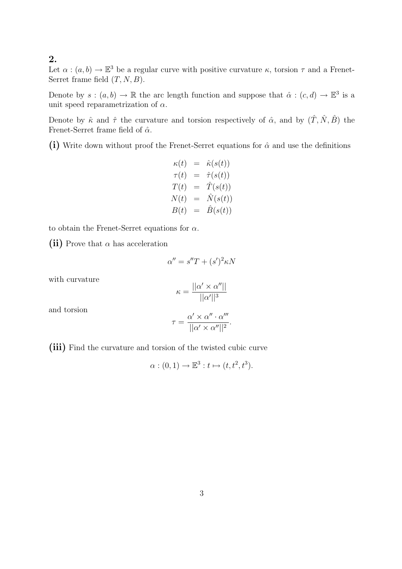Let  $\alpha : (a, b) \to \mathbb{E}^3$  be a regular curve with positive curvature  $\kappa$ , torsion  $\tau$  and a Frenet-Serret frame field  $(T, N, B)$ .

Denote by  $s:(a,b)\to\mathbb{R}$  the arc length function and suppose that  $\hat{\alpha}:(c,d)\to\mathbb{E}^3$  is a unit speed reparametrization of  $\alpha$ .

Denote by  $\hat{\kappa}$  and  $\hat{\tau}$  the curvature and torsion respectively of  $\hat{\alpha}$ , and by  $(\hat{T}, \hat{N}, \hat{B})$  the Frenet-Serret frame field of  $\hat{\alpha}$ .

(i) Write down without proof the Frenet-Serret equations for  $\hat{\alpha}$  and use the definitions

$$
\begin{array}{rcl} \kappa(t) & = & \hat{\kappa}(s(t)) \\ \tau(t) & = & \hat{\tau}(s(t)) \\ T(t) & = & \hat{T}(s(t)) \\ N(t) & = & \hat{N}(s(t)) \\ B(t) & = & \hat{B}(s(t)) \end{array}
$$

to obtain the Frenet-Serret equations for  $\alpha$ .

(ii) Prove that  $\alpha$  has acceleration

$$
\alpha'' = s''T + (s')^2 \kappa N
$$

with curvature

$$
\kappa = \frac{||\alpha' \times \alpha''||}{||\alpha'||^3}
$$

and torsion

$$
\tau = \frac{\alpha' \times \alpha'' \cdot \alpha'''}{||\alpha' \times \alpha''||^2}.
$$

(iii) Find the curvature and torsion of the twisted cubic curve

$$
\alpha: (0,1) \to \mathbb{E}^3: t \mapsto (t, t^2, t^3).
$$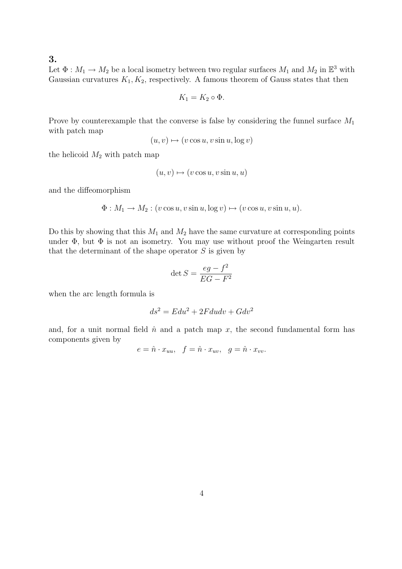Let  $\Phi: M_1 \to M_2$  be a local isometry between two regular surfaces  $M_1$  and  $M_2$  in  $\mathbb{E}^3$  with Gaussian curvatures  $K_1, K_2$ , respectively. A famous theorem of Gauss states that then

$$
K_1 = K_2 \circ \Phi.
$$

Prove by counterexample that the converse is false by considering the funnel surface  $M_1$ with patch map

$$
(u, v) \mapsto (v \cos u, v \sin u, \log v)
$$

the helicoid  $M_2$  with patch map

$$
(u, v) \mapsto (v \cos u, v \sin u, u)
$$

and the diffeomorphism

$$
\Phi: M_1 \to M_2: (v \cos u, v \sin u, \log v) \mapsto (v \cos u, v \sin u, u).
$$

Do this by showing that this  $M_1$  and  $M_2$  have the same curvature at corresponding points under  $\Phi$ , but  $\Phi$  is not an isometry. You may use without proof the Weingarten result that the determinant of the shape operator  $S$  is given by

$$
\det S = \frac{eg - f^2}{EG - F^2}
$$

when the arc length formula is

$$
ds^2 = E du^2 + 2F du dv + G dv^2
$$

and, for a unit normal field  $\hat{n}$  and a patch map x, the second fundamental form has components given by

$$
e = \hat{n} \cdot x_{uu}, \quad f = \hat{n} \cdot x_{uv}, \quad g = \hat{n} \cdot x_{vv}.
$$